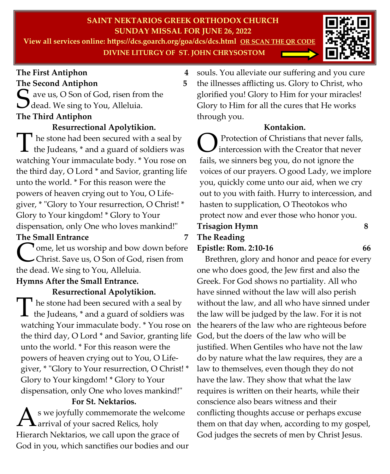## **SAINT NEKTARIOS GREEK ORTHODOX CHURCH SUNDAY MISSAL FOR JUNE 26, 2022**

**View all services online: https://dcs.goarch.org/goa/dcs/dcs.html OR SCAN THE QR CODE DIVINE LITURGY OF ST. JOHN CHRYSOSTOM**



# **The First Antiphon 4**

**The Second Antiphon 5**  S ave us, O Son of God, risen from the<br>dead. We sing to You, Alleluia.  $\bigcup$  dead. We sing to You, Alleluia. **The Third Antiphon**

# **Resurrectional Apolytikion.**

The stone had been secured with a seal by<br>the Judeans, \* and a guard of soldiers was<br>watching Your immaculate body. \* You rose on he stone had been secured with a seal by the Judeans, \* and a guard of soldiers was the third day, O Lord \* and Savior, granting life unto the world. \* For this reason were the powers of heaven crying out to You, O Lifegiver, \* "Glory to Your resurrection, O Christ! \* Glory to Your kingdom! \* Glory to Your dispensation, only One who loves mankind!"

#### **The Small Entrance 7**

Come, let us worship and bow<br>Christ. Save us, O Son of God,<br>the dead. We sing to You, Alleluia. **T** ome, let us worship and bow down before Christ. Save us, O Son of God, risen from

# **Hymns After the Small Entrance.**

**Resurrectional Apolytikion.** 

The stone had been secured with a seal by<br>the Judeans,  $*$  and a guard of soldiers was<br>watching Your immaculate body.  $*$  You rose on he stone had been secured with a seal by the Judeans, \* and a guard of soldiers was the third day, O Lord \* and Savior, granting life unto the world. \* For this reason were the powers of heaven crying out to You, O Lifegiver, \* "Glory to Your resurrection, O Christ! \* Glory to Your kingdom! \* Glory to Your dispensation, only One who loves mankind!"

## **For St. Nektarios.**

 $\mathbf A$ s we joyfully commemorate the welcom<br>Hierarch Nektarios, we call upon the grace of s we joyfully commemorate the welcome arrival of your sacred Relics, holy God in you, which sanctifies our bodies and our

- souls. You alleviate our suffering and you cure
	- the illnesses afflicting us. Glory to Christ, who glorified you! Glory to Him for your miracles! Glory to Him for all the cures that He works through you.

# **Kontakion.**

**O** Protection of Christians that never fall intercession with the Creator that never fails, we sinners beg you, do not ignore the Protection of Christians that never falls, intercession with the Creator that never voices of our prayers. O good Lady, we implore you, quickly come unto our aid, when we cry out to you with faith. Hurry to intercession, and hasten to supplication, O Theotokos who protect now and ever those who honor you.

## **Trisagion Hymn 8 The Reading Epistle: Rom. 2:10-16 66**

 Brethren, glory and honor and peace for every one who does good, the Jew first and also the Greek. For God shows no partiality. All who have sinned without the law will also perish without the law, and all who have sinned under the law will be judged by the law. For it is not the hearers of the law who are righteous before God, but the doers of the law who will be justified. When Gentiles who have not the law do by nature what the law requires, they are a law to themselves, even though they do not have the law. They show that what the law requires is written on their hearts, while their conscience also bears witness and their conflicting thoughts accuse or perhaps excuse them on that day when, according to my gospel, God judges the secrets of men by Christ Jesus.